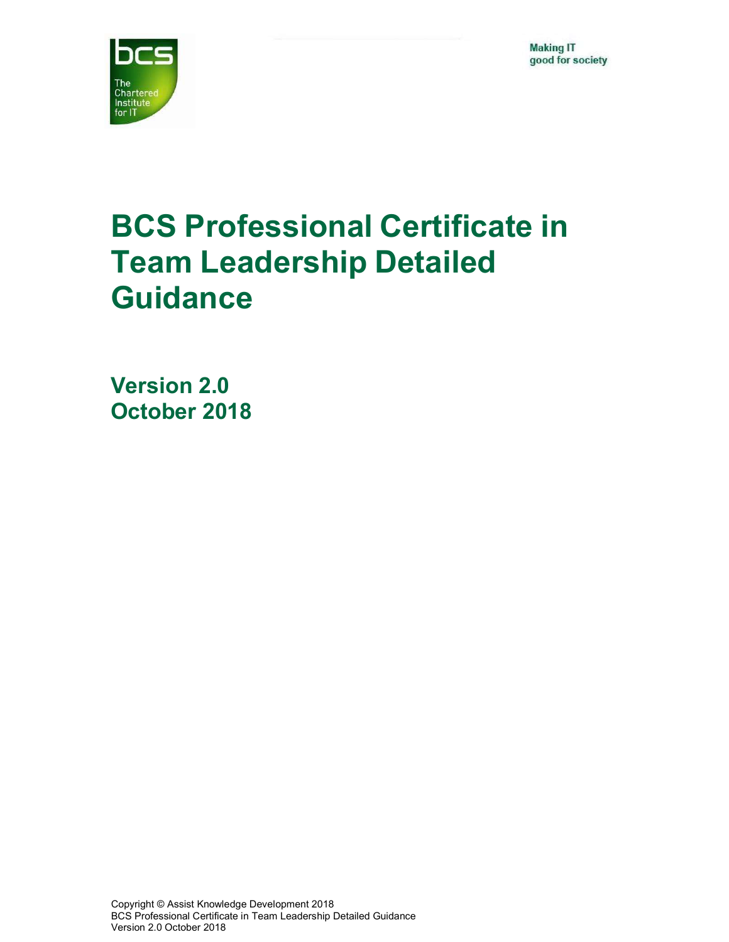**Making IT** good for society



# BCS Professional Certificate in Team Leadership Detailed **Guidance**

Version 2.0 October 2018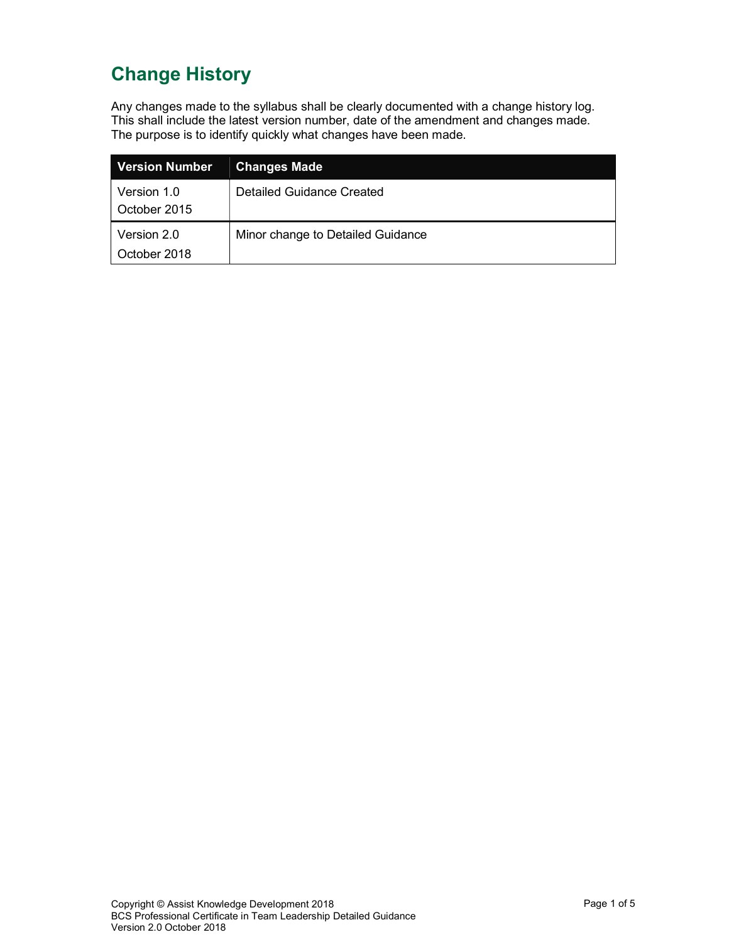### Change History

Any changes made to the syllabus shall be clearly documented with a change history log. This shall include the latest version number, date of the amendment and changes made. The purpose is to identify quickly what changes have been made.

| ∣ Version Number            | <b>Changes Made</b>               |
|-----------------------------|-----------------------------------|
| Version 1.0<br>October 2015 | Detailed Guidance Created         |
| Version 2.0<br>October 2018 | Minor change to Detailed Guidance |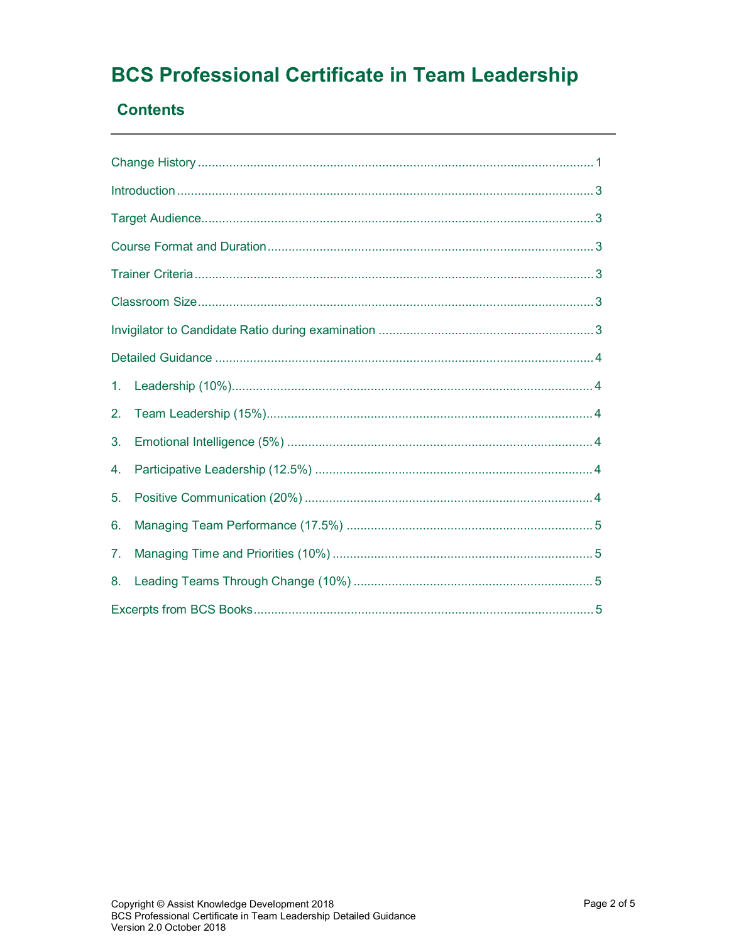## **BCS Professional Certificate in Team Leadership**

#### **Contents**

| 1. |  |  |  |  |
|----|--|--|--|--|
| 2. |  |  |  |  |
| 3. |  |  |  |  |
| 4. |  |  |  |  |
| 5. |  |  |  |  |
| 6. |  |  |  |  |
| 7. |  |  |  |  |
| 8. |  |  |  |  |
|    |  |  |  |  |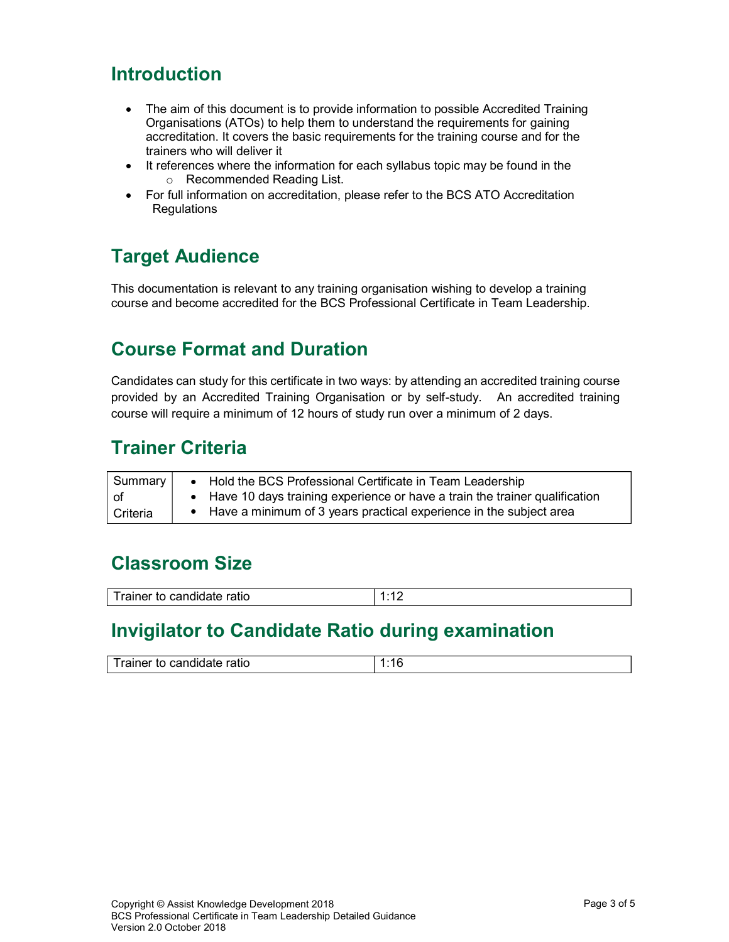### Introduction

- The aim of this document is to provide information to possible Accredited Training Organisations (ATOs) to help them to understand the requirements for gaining accreditation. It covers the basic requirements for the training course and for the trainers who will deliver it
- It references where the information for each syllabus topic may be found in the o Recommended Reading List.
- For full information on accreditation, please refer to the BCS ATO Accreditation **Regulations**

### Target Audience

This documentation is relevant to any training organisation wishing to develop a training course and become accredited for the BCS Professional Certificate in Team Leadership.

### Course Format and Duration

Candidates can study for this certificate in two ways: by attending an accredited training course provided by an Accredited Training Organisation or by self-study. An accredited training course will require a minimum of 12 hours of study run over a minimum of 2 days.

### Trainer Criteria

| Summary $ $ | • Hold the BCS Professional Certificate in Team Leadership                   |
|-------------|------------------------------------------------------------------------------|
| l of        | • Have 10 days training experience or have a train the trainer qualification |
| l Criteria. | • Have a minimum of 3 years practical experience in the subject area         |

### Classroom Size

| - - 1<br>$-$<br>ТC<br>тпег<br>auc |  |
|-----------------------------------|--|

### Invigilator to Candidate Ratio during examination

| <u>Texter</u><br>-- -<br>าer<br>- .<br>'llC |  |
|---------------------------------------------|--|
|                                             |  |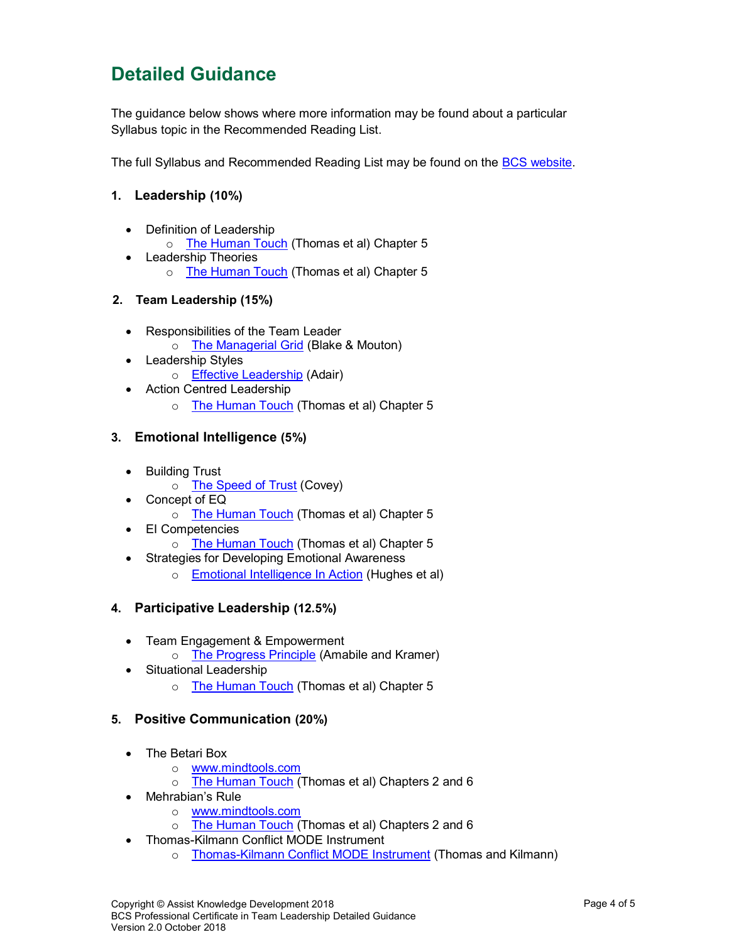### Detailed Guidance

The guidance below shows where more information may be found about a particular Syllabus topic in the Recommended Reading List.

The full Syllabus and Recommended Reading List may be found on the BCS website.

#### 1. Leadership (10%)

- Definition of Leadership
	- o The Human Touch (Thomas et al) Chapter 5
- Leadership Theories
	- o The Human Touch (Thomas et al) Chapter 5

#### 2. Team Leadership (15%)

- Responsibilities of the Team Leader
	- o The Managerial Grid (Blake & Mouton)
- Leadership Styles
	- o Effective Leadership (Adair)
- Action Centred Leadership
	- o The Human Touch (Thomas et al) Chapter 5

#### 3. Emotional Intelligence (5%)

- Building Trust
	- o The Speed of Trust (Covey)
- Concept of EQ
	- o The Human Touch (Thomas et al) Chapter 5
- EI Competencies
	- o The Human Touch (Thomas et al) Chapter 5
- Strategies for Developing Emotional Awareness
	- o Emotional Intelligence In Action (Hughes et al)

#### 4. Participative Leadership (12.5%)

- Team Engagement & Empowerment
	- o The Progress Principle (Amabile and Kramer)
- Situational Leadership
	- o The Human Touch (Thomas et al) Chapter 5

#### 5. Positive Communication (20%)

- The Betari Box
	- o www.mindtools.com
	- o The Human Touch (Thomas et al) Chapters 2 and 6
- Mehrabian's Rule
	- o www.mindtools.com
	- o The Human Touch (Thomas et al) Chapters 2 and 6
	- Thomas-Kilmann Conflict MODE Instrument
		- o Thomas-Kilmann Conflict MODE Instrument (Thomas and Kilmann)